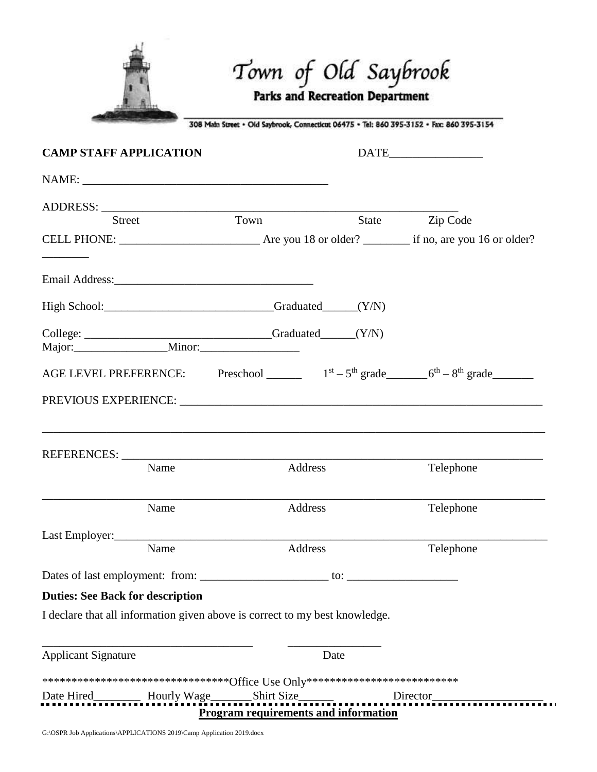|                                                                                                                                                                                                                               |      |         |       | 308 Main Street . Old Saybrook, Connecticut 06475 . Tel: 860 395-3152 . Fax: 860 395-3154 |
|-------------------------------------------------------------------------------------------------------------------------------------------------------------------------------------------------------------------------------|------|---------|-------|-------------------------------------------------------------------------------------------|
| <b>CAMP STAFF APPLICATION</b>                                                                                                                                                                                                 |      |         |       |                                                                                           |
|                                                                                                                                                                                                                               |      |         |       |                                                                                           |
|                                                                                                                                                                                                                               |      |         |       |                                                                                           |
| <b>Street</b>                                                                                                                                                                                                                 |      | Town    | State | Zip Code                                                                                  |
|                                                                                                                                                                                                                               |      |         |       |                                                                                           |
| Email Address: 2008 and 2008 and 2008 and 2008 and 2008 and 2008 and 2008 and 2008 and 2008 and 2008 and 2008 and 2008 and 2008 and 2008 and 2008 and 2008 and 2008 and 2008 and 2008 and 2008 and 2008 and 2008 and 2008 and |      |         |       |                                                                                           |
| High School: _____________________________Graduated______(Y/N)                                                                                                                                                                |      |         |       |                                                                                           |
|                                                                                                                                                                                                                               |      |         |       |                                                                                           |
|                                                                                                                                                                                                                               |      |         |       |                                                                                           |
|                                                                                                                                                                                                                               |      |         |       |                                                                                           |
|                                                                                                                                                                                                                               |      |         |       | AGE LEVEL PREFERENCE: Preschool $1st - 5th$ grade $6th - 8th$ grade                       |
|                                                                                                                                                                                                                               |      |         |       |                                                                                           |
|                                                                                                                                                                                                                               |      |         |       |                                                                                           |
|                                                                                                                                                                                                                               | Name | Address |       | Telephone                                                                                 |
|                                                                                                                                                                                                                               | Name | Address |       | Telephone                                                                                 |
|                                                                                                                                                                                                                               |      |         |       |                                                                                           |
|                                                                                                                                                                                                                               | Name | Address |       | Telephone                                                                                 |
|                                                                                                                                                                                                                               |      |         |       |                                                                                           |
|                                                                                                                                                                                                                               |      |         |       |                                                                                           |
| <b>Duties: See Back for description</b><br>I declare that all information given above is correct to my best knowledge.                                                                                                        |      |         |       |                                                                                           |